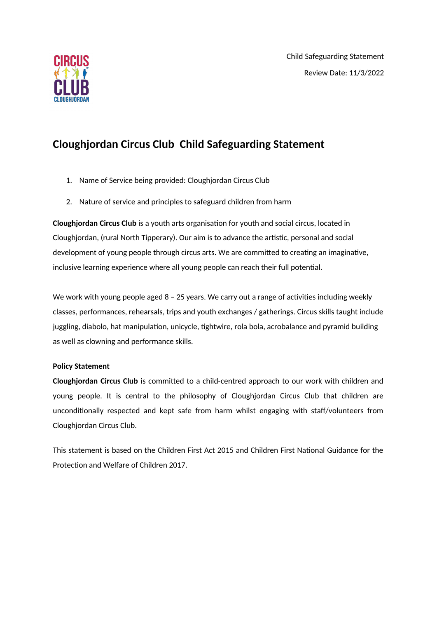

# **Cloughjordan Circus Club Child Safeguarding Statement**

- 1. Name of Service being provided: Cloughjordan Circus Club
- 2. Nature of service and principles to safeguard children from harm

**Cloughjordan Circus Club** is a youth arts organisaton for youth and social circus, located in Cloughjordan, (rural North Tipperary). Our aim is to advance the artistic, personal and social development of young people through circus arts. We are committed to creating an imaginative, inclusive learning experience where all young people can reach their full potental.

We work with young people aged  $8 - 25$  years. We carry out a range of activities including weekly classes, performances, rehearsals, trips and youth exchanges / gatherings. Circus skills taught include juggling, diabolo, hat manipulation, unicycle, tightwire, rola bola, acrobalance and pyramid building as well as clowning and performance skills.

### **Policy Statement**

**Cloughjordan Circus Club** is commited to a child-centred approach to our work with children and young people. It is central to the philosophy of Cloughjordan Circus Club that children are unconditonally respected and kept safe from harm whilst engaging with staf/volunteers from Cloughjordan Circus Club.

This statement is based on the Children First Act 2015 and Children First Natonal Guidance for the Protection and Welfare of Children 2017.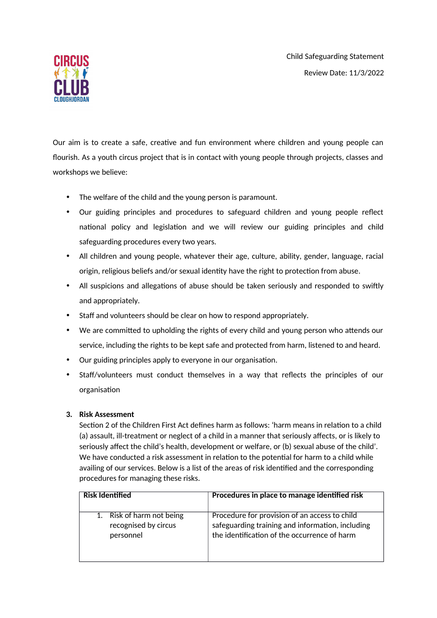Child Safeguarding Statement Review Date: 11/3/2022



Our aim is to create a safe, creative and fun environment where children and young people can flourish. As a youth circus project that is in contact with young people through projects, classes and workshops we believe:

- The welfare of the child and the young person is paramount.
- Our guiding principles and procedures to safeguard children and young people reflect national policy and legislation and we will review our guiding principles and child safeguarding procedures every two years.
- All children and young people, whatever their age, culture, ability, gender, language, racial origin, religious beliefs and/or sexual identity have the right to protection from abuse.
- All suspicions and allegations of abuse should be taken seriously and responded to swiftly and appropriately.
- Staff and volunteers should be clear on how to respond appropriately.
- We are committed to upholding the rights of every child and young person who attends our service, including the rights to be kept safe and protected from harm, listened to and heard.
- Our guiding principles apply to everyone in our organisation.
- Staff/volunteers must conduct themselves in a way that reflects the principles of our organisation

### **3. Risk Assessment**

Section 2 of the Children First Act defines harm as follows: 'harm means in relation to a child (a) assault, ill-treatment or neglect of a child in a manner that seriously afects, or is likely to seriously afect the child's health, development or welfare, or (b) sexual abuse of the child'. We have conducted a risk assessment in relation to the potential for harm to a child while availing of our services. Below is a list of the areas of risk identified and the corresponding procedures for managing these risks.

| Risk Identified           | Procedures in place to manage identified risk    |
|---------------------------|--------------------------------------------------|
| 1. Risk of harm not being | Procedure for provision of an access to child    |
| recognised by circus      | safeguarding training and information, including |
| personnel                 | the identification of the occurrence of harm     |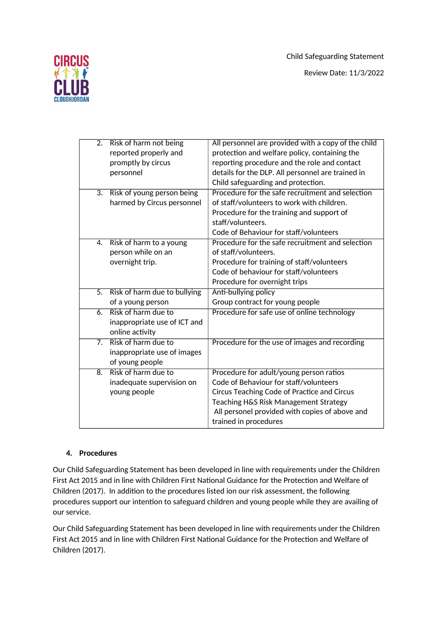Child Safeguarding Statement



Review Date: 11/3/2022

| $\overline{2}$ . | Risk of harm not being<br>reported properly and<br>promptly by circus<br>personnel | All personnel are provided with a copy of the child<br>protection and welfare policy, containing the<br>reporting procedure and the role and contact<br>details for the DLP. All personnel are trained in<br>Child safeguarding and protection.      |
|------------------|------------------------------------------------------------------------------------|------------------------------------------------------------------------------------------------------------------------------------------------------------------------------------------------------------------------------------------------------|
|                  | 3. Risk of young person being<br>harmed by Circus personnel                        | Procedure for the safe recruitment and selection<br>of staff/volunteers to work with children.<br>Procedure for the training and support of<br>staff/volunteers.<br>Code of Behaviour for staff/volunteers                                           |
| 4.               | Risk of harm to a young<br>person while on an<br>overnight trip.                   | Procedure for the safe recruitment and selection<br>of staff/volunteers.<br>Procedure for training of staff/volunteers<br>Code of behaviour for staff/volunteers<br>Procedure for overnight trips                                                    |
| $\overline{5}$ . | Risk of harm due to bullying<br>of a young person                                  | Anti-bullying policy<br>Group contract for young people                                                                                                                                                                                              |
| $\overline{6}$   | Risk of harm due to<br>inappropriate use of ICT and<br>online activity             | Procedure for safe use of online technology                                                                                                                                                                                                          |
| 7 <sub>1</sub>   | Risk of harm due to<br>inappropriate use of images<br>of young people              | Procedure for the use of images and recording                                                                                                                                                                                                        |
| 8.               | Risk of harm due to<br>inadequate supervision on<br>young people                   | Procedure for adult/young person ratios<br>Code of Behaviour for staff/volunteers<br>Circus Teaching Code of Practice and Circus<br>Teaching H&S Risk Management Strategy<br>All personel provided with copies of above and<br>trained in procedures |

## **4. Procedures**

Our Child Safeguarding Statement has been developed in line with requirements under the Children First Act 2015 and in line with Children First National Guidance for the Protection and Welfare of Children (2017). In addition to the procedures listed ion our risk assessment, the following procedures support our intention to safeguard children and young people while they are availing of our service.

Our Child Safeguarding Statement has been developed in line with requirements under the Children First Act 2015 and in line with Children First National Guidance for the Protection and Welfare of Children (2017).